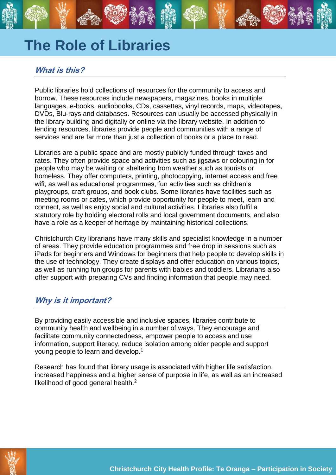# **The Role of Libraries**

## **What is this?**

Public libraries hold collections of resources for the community to access and borrow. These resources include newspapers, magazines, books in multiple languages, e-books, audiobooks, CDs, cassettes, vinyl records, maps, videotapes, DVDs, Blu-rays and databases. Resources can usually be accessed physically in the library building and digitally or online via the library website. In addition to lending resources, libraries provide people and communities with a range of services and are far more than just a collection of books or a place to read.

Libraries are a public space and are mostly publicly funded through taxes and rates. They often provide space and activities such as jigsaws or colouring in for people who may be waiting or sheltering from weather such as tourists or homeless. They offer computers, printing, photocopying, internet access and free wifi, as well as educational programmes, fun activities such as children's playgroups, craft groups, and book clubs. Some libraries have facilities such as meeting rooms or cafes, which provide opportunity for people to meet, learn and connect, as well as enjoy social and cultural activities. Libraries also fulfil a statutory role by holding electoral rolls and local government documents, and also have a role as a keeper of heritage by maintaining historical collections.

Christchurch City librarians have many skills and specialist knowledge in a number of areas. They provide education programmes and free drop in sessions such as iPads for beginners and Windows for beginners that help people to develop skills in the use of technology. They create displays and offer education on various topics, as well as running fun groups for parents with babies and toddlers. Librarians also offer support with preparing CVs and finding information that people may need.

## **Why is it important?**

By providing easily accessible and inclusive spaces, libraries contribute to community health and wellbeing in a number of ways. They encourage and facilitate community connectedness, empower people to access and use information, support literacy, reduce isolation among older people and support young people to learn and develop.<sup>1</sup>

Research has found that library usage is associated with higher life satisfaction, increased happiness and a higher sense of purpose in life, as well as an increased likelihood of good general health.<sup>2</sup>

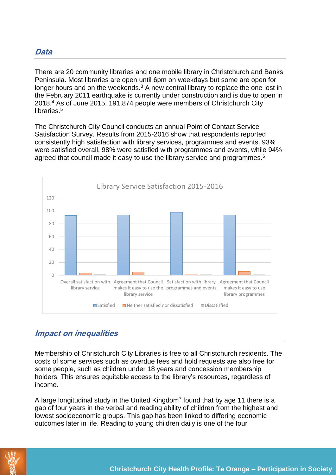There are 20 community libraries and one mobile library in Christchurch and Banks Peninsula. Most libraries are open until 6pm on weekdays but some are open for longer hours and on the weekends.<sup>3</sup> A new central library to replace the one lost in the February 2011 earthquake is currently under construction and is due to open in 2018.<sup>4</sup> As of June 2015, 191,874 people were members of Christchurch City libraries.<sup>5</sup>

The Christchurch City Council conducts an annual Point of Contact Service Satisfaction Survey. Results from 2015-2016 show that respondents reported consistently high satisfaction with library services, programmes and events. 93% were satisfied overall, 98% were satisfied with programmes and events, while 94% agreed that council made it easy to use the library service and programmes.<sup>6</sup>



## **Impact on inequalities**

Membership of Christchurch City Libraries is free to all Christchurch residents. The costs of some services such as overdue fees and hold requests are also free for some people, such as children under 18 years and concession membership holders. This ensures equitable access to the library's resources, regardless of income.

A large longitudinal study in the United Kingdom<sup>7</sup> found that by age 11 there is a gap of four years in the verbal and reading ability of children from the highest and lowest socioeconomic groups. This gap has been linked to differing economic outcomes later in life. Reading to young children daily is one of the four

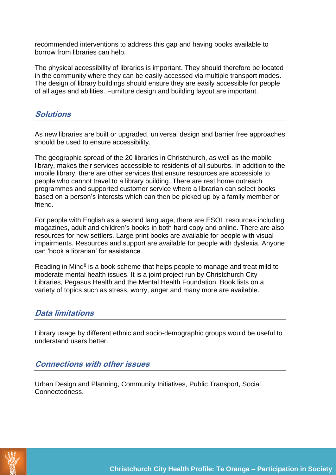recommended interventions to address this gap and having books available to borrow from libraries can help.

The physical accessibility of libraries is important. They should therefore be located in the community where they can be easily accessed via multiple transport modes. The design of library buildings should ensure they are easily accessible for people of all ages and abilities. Furniture design and building layout are important.

#### **Solutions**

As new libraries are built or upgraded, universal design and barrier free approaches should be used to ensure accessibility.

The geographic spread of the 20 libraries in Christchurch, as well as the mobile library, makes their services accessible to residents of all suburbs. In addition to the mobile library, there are other services that ensure resources are accessible to people who cannot travel to a library building. There are rest home outreach programmes and supported customer service where a librarian can select books based on a person's interests which can then be picked up by a family member or friend.

For people with English as a second language, there are ESOL resources including magazines, adult and children's books in both hard copy and online. There are also resources for new settlers. Large print books are available for people with visual impairments. Resources and support are available for people with dyslexia. Anyone can 'book a librarian' for assistance.

Reading in Mind<sup>8</sup> is a book scheme that helps people to manage and treat mild to moderate mental health issues. It is a joint project run by Christchurch City Libraries, Pegasus Health and the Mental Health Foundation. Book lists on a variety of topics such as stress, worry, anger and many more are available.

### **Data limitations**

Library usage by different ethnic and socio-demographic groups would be useful to understand users better.

### **Connections with other issues**

Urban Design and Planning, Community Initiatives, Public Transport, Social Connectedness.

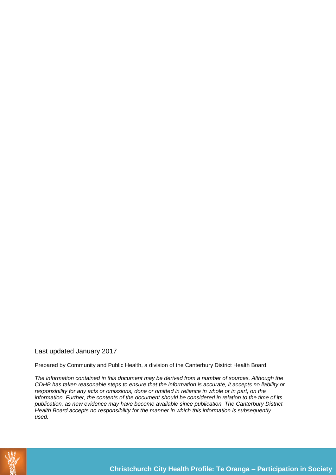#### Last updated January 2017

Prepared by Community and Public Health, a division of the Canterbury District Health Board.

*The information contained in this document may be derived from a number of sources. Although the CDHB has taken reasonable steps to ensure that the information is accurate, it accepts no liability or responsibility for any acts or omissions, done or omitted in reliance in whole or in part, on the information. Further, the contents of the document should be considered in relation to the time of its publication, as new evidence may have become available since publication. The Canterbury District Health Board accepts no responsibility for the manner in which this information is subsequently used.*